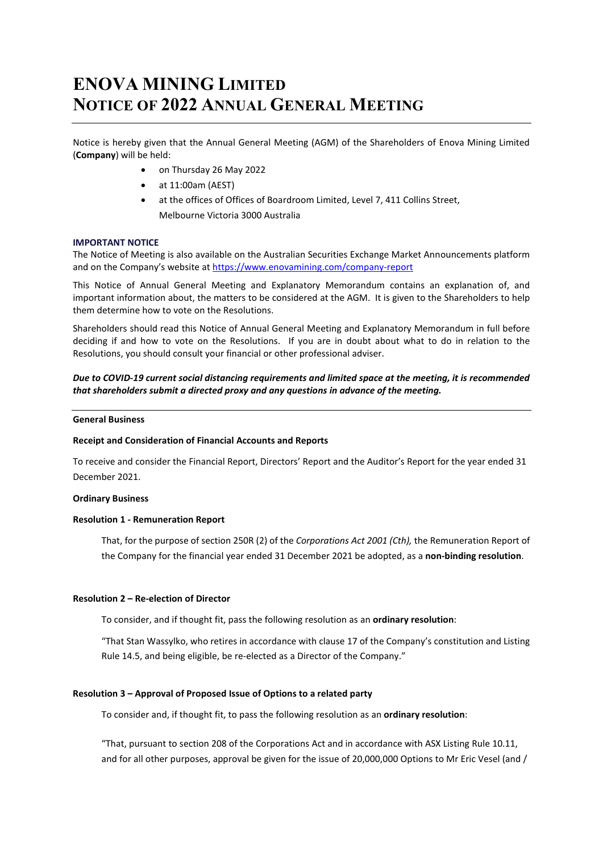# **ENOVA MINING LIMITED NOTICE OF 2022 ANNUAL GENERAL MEETING**

Notice is hereby given that the Annual General Meeting (AGM) of the Shareholders of Enova Mining Limited (**Company**) will be held:

- on Thursday 26 May 2022
- at 11:00am (AEST)
- at the offices of Offices of Boardroom Limited, Level 7, 411 Collins Street, Melbourne Victoria 3000 Australia

## **IMPORTANT NOTICE**

The Notice of Meeting is also available on the Australian Securities Exchange Market Announcements platform and on the Company's website at<https://www.enovamining.com/company-report>

This Notice of Annual General Meeting and Explanatory Memorandum contains an explanation of, and important information about, the matters to be considered at the AGM. It is given to the Shareholders to help them determine how to vote on the Resolutions.

Shareholders should read this Notice of Annual General Meeting and Explanatory Memorandum in full before deciding if and how to vote on the Resolutions. If you are in doubt about what to do in relation to the Resolutions, you should consult your financial or other professional adviser.

*Due to COVID-19 current social distancing requirements and limited space at the meeting, it is recommended that shareholders submit a directed proxy and any questions in advance of the meeting.*

## **General Business**

## **Receipt and Consideration of Financial Accounts and Reports**

To receive and consider the Financial Report, Directors' Report and the Auditor's Report for the year ended 31 December 2021.

## **Ordinary Business**

## **Resolution 1 - Remuneration Report**

That, for the purpose of section 250R (2) of the *Corporations Act 2001 (Cth),* the Remuneration Report of the Company for the financial year ended 31 December 2021 be adopted, as a **non-binding resolution**.

## **Resolution 2 – Re-election of Director**

To consider, and if thought fit, pass the following resolution as an **ordinary resolution**:

"That Stan Wassylko, who retires in accordance with clause 17 of the Company's constitution and Listing Rule 14.5, and being eligible, be re-elected as a Director of the Company."

## **Resolution 3 – Approval of Proposed Issue of Options to a related party**

To consider and, if thought fit, to pass the following resolution as an **ordinary resolution**:

"That, pursuant to section 208 of the Corporations Act and in accordance with ASX Listing Rule 10.11, and for all other purposes, approval be given for the issue of 20,000,000 Options to Mr Eric Vesel (and /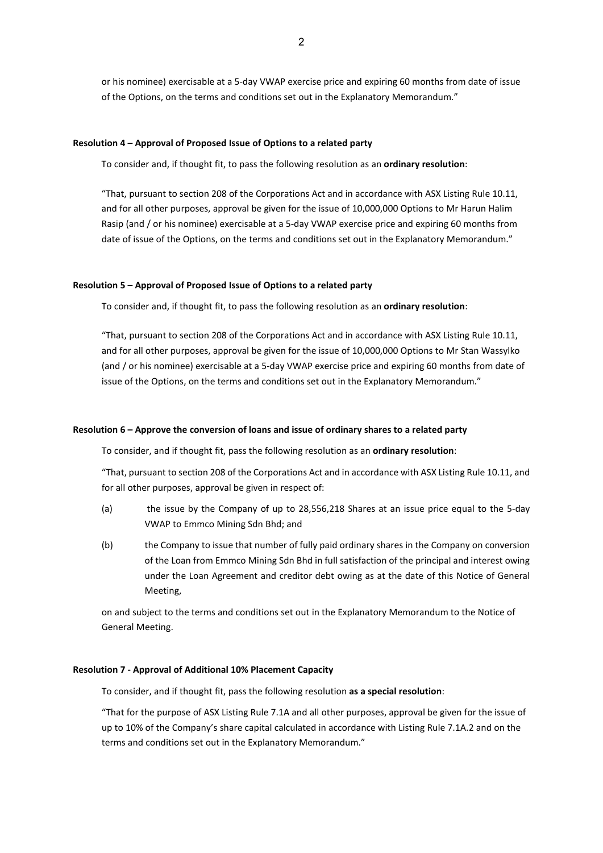or his nominee) exercisable at a 5-day VWAP exercise price and expiring 60 months from date of issue of the Options, on the terms and conditions set out in the Explanatory Memorandum."

## **Resolution 4 – Approval of Proposed Issue of Options to a related party**

To consider and, if thought fit, to pass the following resolution as an **ordinary resolution**:

"That, pursuant to section 208 of the Corporations Act and in accordance with ASX Listing Rule 10.11, and for all other purposes, approval be given for the issue of 10,000,000 Options to Mr Harun Halim Rasip (and / or his nominee) exercisable at a 5-day VWAP exercise price and expiring 60 months from date of issue of the Options, on the terms and conditions set out in the Explanatory Memorandum."

## **Resolution 5 – Approval of Proposed Issue of Options to a related party**

To consider and, if thought fit, to pass the following resolution as an **ordinary resolution**:

"That, pursuant to section 208 of the Corporations Act and in accordance with ASX Listing Rule 10.11, and for all other purposes, approval be given for the issue of 10,000,000 Options to Mr Stan Wassylko (and / or his nominee) exercisable at a 5-day VWAP exercise price and expiring 60 months from date of issue of the Options, on the terms and conditions set out in the Explanatory Memorandum."

## **Resolution 6 – Approve the conversion of loans and issue of ordinary shares to a related party**

To consider, and if thought fit, pass the following resolution as an **ordinary resolution**:

"That, pursuant to section 208 of the Corporations Act and in accordance with ASX Listing Rule 10.11, and for all other purposes, approval be given in respect of:

- (a) the issue by the Company of up to 28,556,218 Shares at an issue price equal to the 5-day VWAP to Emmco Mining Sdn Bhd; and
- (b) the Company to issue that number of fully paid ordinary shares in the Company on conversion of the Loan from Emmco Mining Sdn Bhd in full satisfaction of the principal and interest owing under the Loan Agreement and creditor debt owing as at the date of this Notice of General Meeting,

on and subject to the terms and conditions set out in the Explanatory Memorandum to the Notice of General Meeting.

## **Resolution 7 - Approval of Additional 10% Placement Capacity**

To consider, and if thought fit, pass the following resolution **as a special resolution**:

"That for the purpose of ASX Listing Rule 7.1A and all other purposes, approval be given for the issue of up to 10% of the Company's share capital calculated in accordance with Listing Rule 7.1A.2 and on the terms and conditions set out in the Explanatory Memorandum."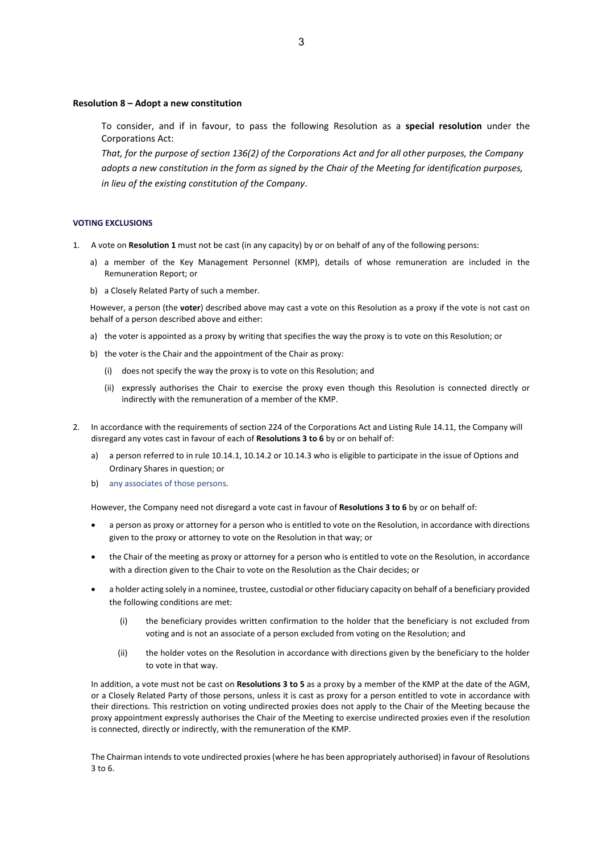#### **Resolution 8 – Adopt a new constitution**

To consider, and if in favour, to pass the following Resolution as a **special resolution** under the Corporations Act:

*That, for the purpose of section 136(2) of the Corporations Act and for all other purposes, the Company adopts a new constitution in the form as signed by the Chair of the Meeting for identification purposes, in lieu of the existing constitution of the Company*.

#### **VOTING EXCLUSIONS**

- 1. A vote on **Resolution 1** must not be cast (in any capacity) by or on behalf of any of the following persons:
	- a) a member of the Key Management Personnel (KMP), details of whose remuneration are included in the Remuneration Report; or
	- b) a Closely Related Party of such a member.

However, a person (the **voter**) described above may cast a vote on this Resolution as a proxy if the vote is not cast on behalf of a person described above and either:

- a) the voter is appointed as a proxy by writing that specifies the way the proxy is to vote on this Resolution; or
- b) the voter is the Chair and the appointment of the Chair as proxy:
	- (i) does not specify the way the proxy is to vote on this Resolution; and
	- (ii) expressly authorises the Chair to exercise the proxy even though this Resolution is connected directly or indirectly with the remuneration of a member of the KMP.
- 2. In accordance with the requirements of section 224 of the Corporations Act and Listing Rule 14.11, the Company will disregard any votes cast in favour of each of **Resolutions 3 to 6** by or on behalf of:
	- a) a person referred to in rule 10.14.1, 10.14.2 or 10.14.3 who is eligible to participate in the issue of Options and Ordinary Shares in question; or
	- b) any associates of those persons.

However, the Company need not disregard a vote cast in favour of **Resolutions 3 to 6** by or on behalf of:

- a person as proxy or attorney for a person who is entitled to vote on the Resolution, in accordance with directions given to the proxy or attorney to vote on the Resolution in that way; or
- the Chair of the meeting as proxy or attorney for a person who is entitled to vote on the Resolution, in accordance with a direction given to the Chair to vote on the Resolution as the Chair decides; or
- a holder acting solely in a nominee, trustee, custodial or other fiduciary capacity on behalf of a beneficiary provided the following conditions are met:
	- (i) the beneficiary provides written confirmation to the holder that the beneficiary is not excluded from voting and is not an associate of a person excluded from voting on the Resolution; and
	- (ii) the holder votes on the Resolution in accordance with directions given by the beneficiary to the holder to vote in that way.

In addition, a vote must not be cast on Resolutions 3 to 5 as a proxy by a member of the KMP at the date of the AGM, or a Closely Related Party of those persons, unless it is cast as proxy for a person entitled to vote in accordance with their directions. This restriction on voting undirected proxies does not apply to the Chair of the Meeting because the proxy appointment expressly authorises the Chair of the Meeting to exercise undirected proxies even if the resolution is connected, directly or indirectly, with the remuneration of the KMP.

The Chairman intends to vote undirected proxies (where he has been appropriately authorised) in favour of Resolutions 3 to 6.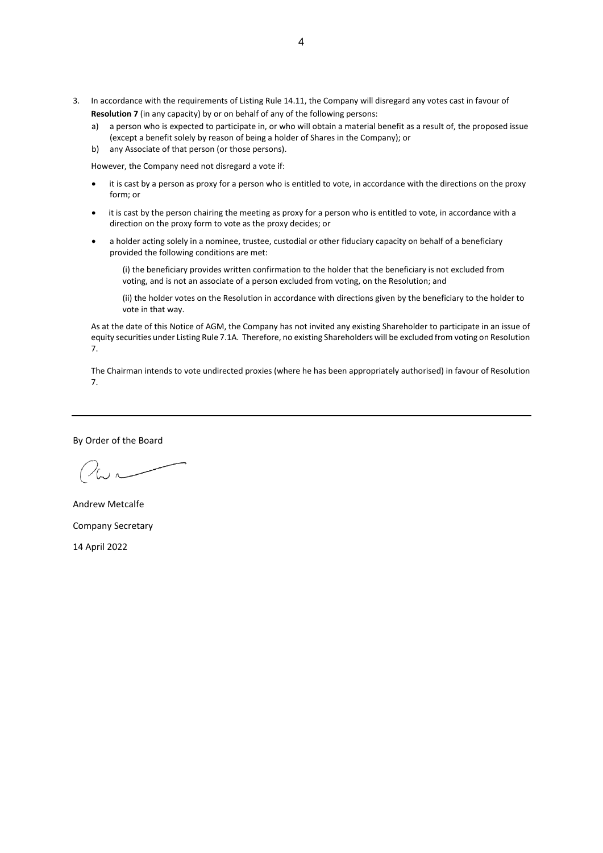- 3. In accordance with the requirements of Listing Rule 14.11, the Company will disregard any votes cast in favour of **Resolution 7** (in any capacity) by or on behalf of any of the following persons:
	- a) a person who is expected to participate in, or who will obtain a material benefit as a result of, the proposed issue (except a benefit solely by reason of being a holder of Shares in the Company); or
	- b) any Associate of that person (or those persons).

However, the Company need not disregard a vote if:

- it is cast by a person as proxy for a person who is entitled to vote, in accordance with the directions on the proxy form; or
- it is cast by the person chairing the meeting as proxy for a person who is entitled to vote, in accordance with a direction on the proxy form to vote as the proxy decides; or
- a holder acting solely in a nominee, trustee, custodial or other fiduciary capacity on behalf of a beneficiary provided the following conditions are met:

(i) the beneficiary provides written confirmation to the holder that the beneficiary is not excluded from voting, and is not an associate of a person excluded from voting, on the Resolution; and

(ii) the holder votes on the Resolution in accordance with directions given by the beneficiary to the holder to vote in that way.

As at the date of this Notice of AGM, the Company has not invited any existing Shareholder to participate in an issue of equity securities under Listing Rule 7.1A. Therefore, no existing Shareholders will be excluded from voting on Resolution 7.

The Chairman intends to vote undirected proxies (where he has been appropriately authorised) in favour of Resolution 7.

By Order of the Board

Andrew Metcalfe Company Secretary 14 April 2022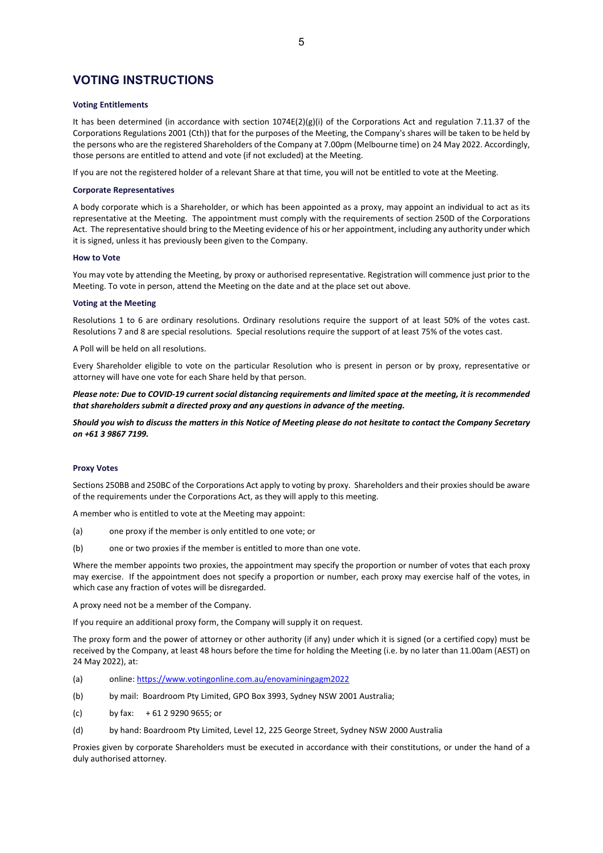# **VOTING INSTRUCTIONS**

#### **Voting Entitlements**

It has been determined (in accordance with section  $1074E(2)(g)(i)$  of the Corporations Act and regulation 7.11.37 of the Corporations Regulations 2001 (Cth)) that for the purposes of the Meeting, the Company's shares will be taken to be held by the persons who are the registered Shareholders of the Company at 7.00pm (Melbourne time) on 24 May 2022. Accordingly, those persons are entitled to attend and vote (if not excluded) at the Meeting.

If you are not the registered holder of a relevant Share at that time, you will not be entitled to vote at the Meeting.

#### **Corporate Representatives**

A body corporate which is a Shareholder, or which has been appointed as a proxy, may appoint an individual to act as its representative at the Meeting. The appointment must comply with the requirements of section 250D of the Corporations Act. The representative should bring to the Meeting evidence of his or her appointment, including any authority under which it is signed, unless it has previously been given to the Company.

#### **How to Vote**

You may vote by attending the Meeting, by proxy or authorised representative. Registration will commence just prior to the Meeting. To vote in person, attend the Meeting on the date and at the place set out above.

#### **Voting at the Meeting**

Resolutions 1 to 6 are ordinary resolutions. Ordinary resolutions require the support of at least 50% of the votes cast. Resolutions 7 and 8 are special resolutions. Special resolutions require the support of at least 75% of the votes cast.

A Poll will be held on all resolutions.

Every Shareholder eligible to vote on the particular Resolution who is present in person or by proxy, representative or attorney will have one vote for each Share held by that person.

*Please note: Due to COVID-19 current social distancing requirements and limited space at the meeting, it is recommended that shareholders submit a directed proxy and any questions in advance of the meeting.*

*Should you wish to discuss the matters in this Notice of Meeting please do not hesitate to contact the Company Secretary on +61 3 9867 7199.*

#### **Proxy Votes**

Sections 250BB and 250BC of the Corporations Act apply to voting by proxy. Shareholders and their proxies should be aware of the requirements under the Corporations Act, as they will apply to this meeting.

A member who is entitled to vote at the Meeting may appoint:

- (a) one proxy if the member is only entitled to one vote; or
- (b) one or two proxies if the member is entitled to more than one vote.

Where the member appoints two proxies, the appointment may specify the proportion or number of votes that each proxy may exercise. If the appointment does not specify a proportion or number, each proxy may exercise half of the votes, in which case any fraction of votes will be disregarded.

A proxy need not be a member of the Company.

If you require an additional proxy form, the Company will supply it on request.

The proxy form and the power of attorney or other authority (if any) under which it is signed (or a certified copy) must be received by the Company, at least 48 hours before the time for holding the Meeting (i.e. by no later than 11.00am (AEST) on 24 May 2022), at:

- (a) online[: https://www.votingonline.com.au/enovaminingagm2022](https://www.votingonline.com.au/enovaminingagm2021)
- (b) by mail: Boardroom Pty Limited, GPO Box 3993, Sydney NSW 2001 Australia;
- (c) by fax: + 61 2 9290 9655; or
- (d) by hand: Boardroom Pty Limited, Level 12, 225 George Street, Sydney NSW 2000 Australia

Proxies given by corporate Shareholders must be executed in accordance with their constitutions, or under the hand of a duly authorised attorney.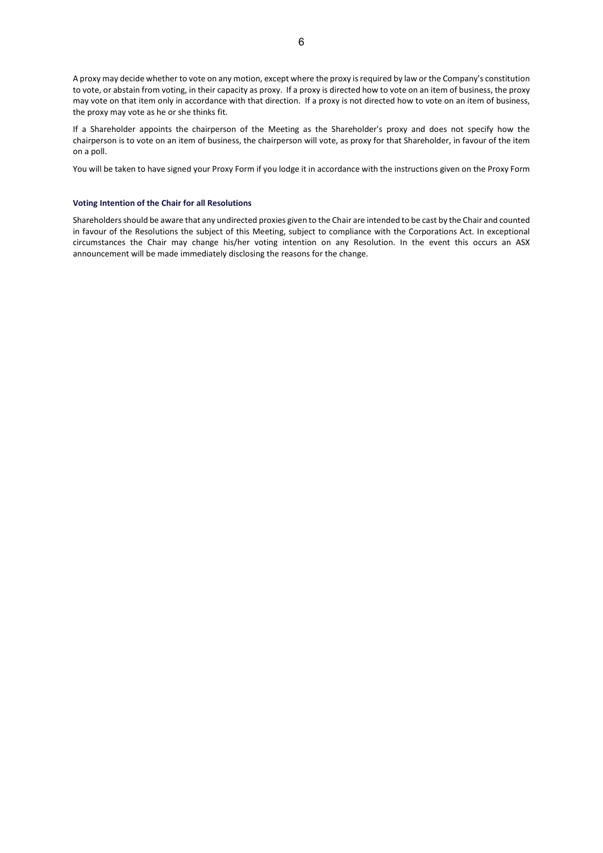A proxy may decide whether to vote on any motion, except where the proxy is required by law or the Company's constitution to vote, or abstain from voting, in their capacity as proxy. If a proxy is directed how to vote on an item of business, the proxy may vote on that item only in accordance with that direction. If a proxy is not directed how to vote on an item of business, the proxy may vote as he or she thinks fit.

If a Shareholder appoints the chairperson of the Meeting as the Shareholder's proxy and does not specify how the chairperson is to vote on an item of business, the chairperson will vote, as proxy for that Shareholder, in favour of the item on a poll.

You will be taken to have signed your Proxy Form if you lodge it in accordance with the instructions given on the Proxy Form

#### **Voting Intention of the Chair for all Resolutions**

Shareholders should be aware that any undirected proxies given to the Chair are intended to be cast by the Chair and counted in favour of the Resolutions the subject of this Meeting, subject to compliance with the Corporations Act. In exceptional circumstances the Chair may change his/her voting intention on any Resolution. In the event this occurs an ASX announcement will be made immediately disclosing the reasons for the change.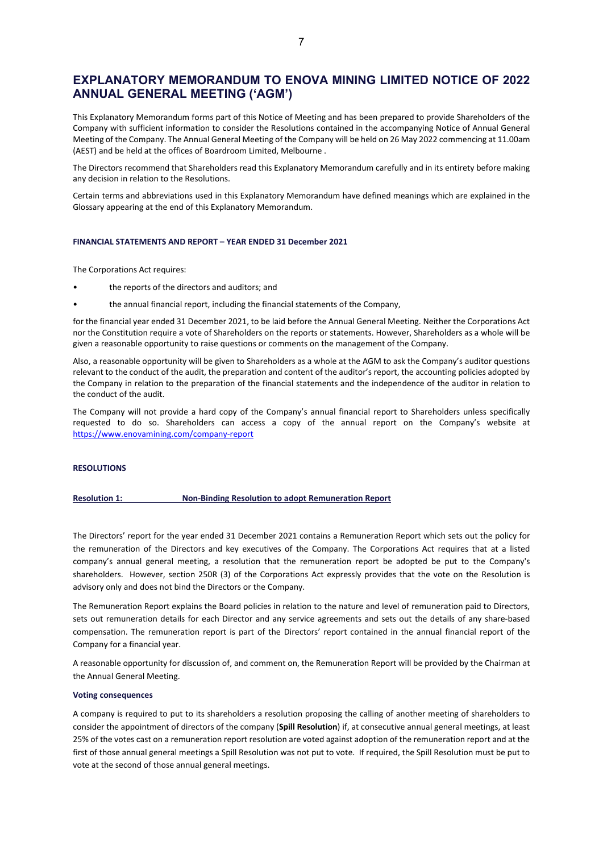# **EXPLANATORY MEMORANDUM TO ENOVA MINING LIMITED NOTICE OF 2022 ANNUAL GENERAL MEETING ('AGM')**

This Explanatory Memorandum forms part of this Notice of Meeting and has been prepared to provide Shareholders of the Company with sufficient information to consider the Resolutions contained in the accompanying Notice of Annual General Meeting of the Company. The Annual General Meeting of the Company will be held on 26 May 2022 commencing at 11.00am (AEST) and be held at the offices of Boardroom Limited, Melbourne .

The Directors recommend that Shareholders read this Explanatory Memorandum carefully and in its entirety before making any decision in relation to the Resolutions.

Certain terms and abbreviations used in this Explanatory Memorandum have defined meanings which are explained in the Glossary appearing at the end of this Explanatory Memorandum.

#### **FINANCIAL STATEMENTS AND REPORT – YEAR ENDED 31 December 2021**

The Corporations Act requires:

- the reports of the directors and auditors; and
- the annual financial report, including the financial statements of the Company,

for the financial year ended 31 December 2021, to be laid before the Annual General Meeting. Neither the Corporations Act nor the Constitution require a vote of Shareholders on the reports or statements. However, Shareholders as a whole will be given a reasonable opportunity to raise questions or comments on the management of the Company.

Also, a reasonable opportunity will be given to Shareholders as a whole at the AGM to ask the Company's auditor questions relevant to the conduct of the audit, the preparation and content of the auditor's report, the accounting policies adopted by the Company in relation to the preparation of the financial statements and the independence of the auditor in relation to the conduct of the audit.

The Company will not provide a hard copy of the Company's annual financial report to Shareholders unless specifically requested to do so. Shareholders can access a copy of the annual report on the Company's website at <https://www.enovamining.com/company-report>

#### **RESOLUTIONS**

#### **Resolution 1: Non-Binding Resolution to adopt Remuneration Report**

The Directors' report for the year ended 31 December 2021 contains a Remuneration Report which sets out the policy for the remuneration of the Directors and key executives of the Company. The Corporations Act requires that at a listed company's annual general meeting, a resolution that the remuneration report be adopted be put to the Company's shareholders. However, section 250R (3) of the Corporations Act expressly provides that the vote on the Resolution is advisory only and does not bind the Directors or the Company.

The Remuneration Report explains the Board policies in relation to the nature and level of remuneration paid to Directors, sets out remuneration details for each Director and any service agreements and sets out the details of any share-based compensation. The remuneration report is part of the Directors' report contained in the annual financial report of the Company for a financial year.

A reasonable opportunity for discussion of, and comment on, the Remuneration Report will be provided by the Chairman at the Annual General Meeting.

#### **Voting consequences**

A company is required to put to its shareholders a resolution proposing the calling of another meeting of shareholders to consider the appointment of directors of the company (**Spill Resolution**) if, at consecutive annual general meetings, at least 25% of the votes cast on a remuneration report resolution are voted against adoption of the remuneration report and at the first of those annual general meetings a Spill Resolution was not put to vote. If required, the Spill Resolution must be put to vote at the second of those annual general meetings.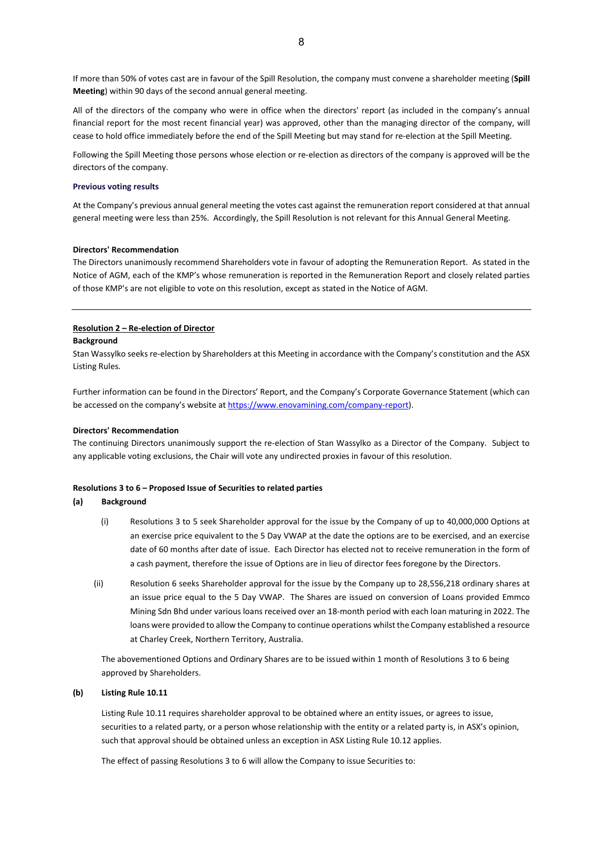If more than 50% of votes cast are in favour of the Spill Resolution, the company must convene a shareholder meeting (**Spill Meeting**) within 90 days of the second annual general meeting.

All of the directors of the company who were in office when the directors' report (as included in the company's annual financial report for the most recent financial year) was approved, other than the managing director of the company, will cease to hold office immediately before the end of the Spill Meeting but may stand for re-election at the Spill Meeting.

Following the Spill Meeting those persons whose election or re-election as directors of the company is approved will be the directors of the company.

#### **Previous voting results**

At the Company's previous annual general meeting the votes cast against the remuneration report considered at that annual general meeting were less than 25%. Accordingly, the Spill Resolution is not relevant for this Annual General Meeting.

#### **Directors' Recommendation**

The Directors unanimously recommend Shareholders vote in favour of adopting the Remuneration Report. As stated in the Notice of AGM, each of the KMP's whose remuneration is reported in the Remuneration Report and closely related parties of those KMP's are not eligible to vote on this resolution, except as stated in the Notice of AGM.

#### **Resolution 2 – Re-election of Director**

#### **Background**

Stan Wassylko seeks re-election by Shareholders at this Meeting in accordance with the Company's constitution and the ASX Listing Rules.

Further information can be found in the Directors' Report, and the Company's Corporate Governance Statement (which can be accessed on the company's website a[t https://www.enovamining.com/company-report\)](https://www.enovamining.com/company-report).

#### **Directors' Recommendation**

The continuing Directors unanimously support the re-election of Stan Wassylko as a Director of the Company. Subject to any applicable voting exclusions, the Chair will vote any undirected proxies in favour of this resolution.

#### **Resolutions 3 to 6 – Proposed Issue of Securities to related parties**

#### **(a) Background**

- (i) Resolutions 3 to 5 seek Shareholder approval for the issue by the Company of up to 40,000,000 Options at an exercise price equivalent to the 5 Day VWAP at the date the options are to be exercised, and an exercise date of 60 months after date of issue. Each Director has elected not to receive remuneration in the form of a cash payment, therefore the issue of Options are in lieu of director fees foregone by the Directors.
- (ii) Resolution 6 seeks Shareholder approval for the issue by the Company up to 28,556,218 ordinary shares at an issue price equal to the 5 Day VWAP. The Shares are issued on conversion of Loans provided Emmco Mining Sdn Bhd under various loans received over an 18-month period with each loan maturing in 2022. The loans were provided to allow the Company to continue operations whilst the Company established a resource at Charley Creek, Northern Territory, Australia.

The abovementioned Options and Ordinary Shares are to be issued within 1 month of Resolutions 3 to 6 being approved by Shareholders.

#### **(b) Listing Rule 10.11**

Listing Rule 10.11 requires shareholder approval to be obtained where an entity issues, or agrees to issue, securities to a related party, or a person whose relationship with the entity or a related party is, in ASX's opinion, such that approval should be obtained unless an exception in ASX Listing Rule 10.12 applies.

The effect of passing Resolutions 3 to 6 will allow the Company to issue Securities to: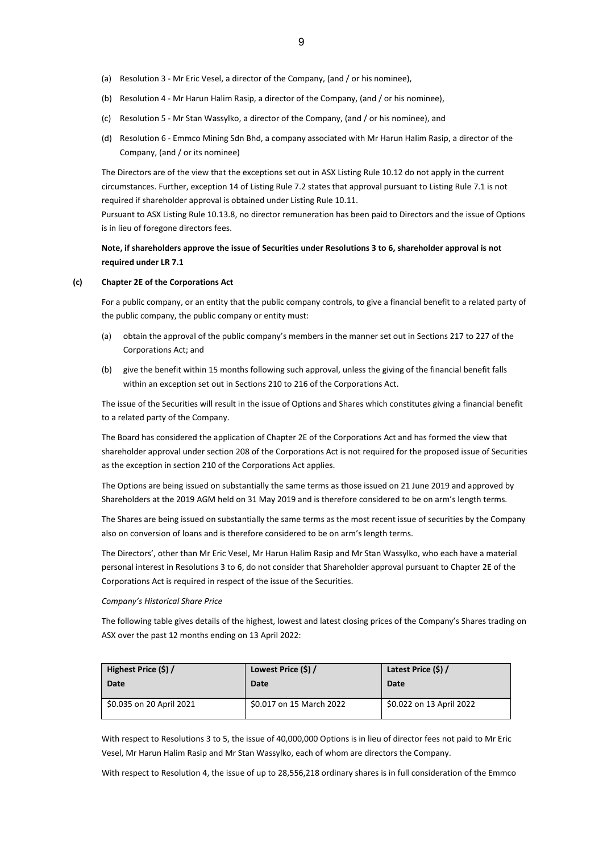- (b) Resolution 4 Mr Harun Halim Rasip, a director of the Company, (and / or his nominee),
- (c) Resolution 5 Mr Stan Wassylko, a director of the Company, (and / or his nominee), and
- (d) Resolution 6 Emmco Mining Sdn Bhd, a company associated with Mr Harun Halim Rasip, a director of the Company, (and / or its nominee)

The Directors are of the view that the exceptions set out in ASX Listing Rule 10.12 do not apply in the current circumstances. Further, exception 14 of Listing Rule 7.2 states that approval pursuant to Listing Rule 7.1 is not required if shareholder approval is obtained under Listing Rule 10.11.

Pursuant to ASX Listing Rule 10.13.8, no director remuneration has been paid to Directors and the issue of Options is in lieu of foregone directors fees.

## **Note, if shareholders approve the issue of Securities under Resolutions 3 to 6, shareholder approval is not required under LR 7.1**

## **(c) Chapter 2E of the Corporations Act**

For a public company, or an entity that the public company controls, to give a financial benefit to a related party of the public company, the public company or entity must:

- (a) obtain the approval of the public company's members in the manner set out in Sections 217 to 227 of the Corporations Act; and
- (b) give the benefit within 15 months following such approval, unless the giving of the financial benefit falls within an exception set out in Sections 210 to 216 of the Corporations Act.

The issue of the Securities will result in the issue of Options and Shares which constitutes giving a financial benefit to a related party of the Company.

The Board has considered the application of Chapter 2E of the Corporations Act and has formed the view that shareholder approval under section 208 of the Corporations Act is not required for the proposed issue of Securities as the exception in section 210 of the Corporations Act applies.

The Options are being issued on substantially the same terms as those issued on 21 June 2019 and approved by Shareholders at the 2019 AGM held on 31 May 2019 and is therefore considered to be on arm's length terms.

The Shares are being issued on substantially the same terms as the most recent issue of securities by the Company also on conversion of loans and is therefore considered to be on arm's length terms.

The Directors', other than Mr Eric Vesel, Mr Harun Halim Rasip and Mr Stan Wassylko, who each have a material personal interest in Resolutions 3 to 6, do not consider that Shareholder approval pursuant to Chapter 2E of the Corporations Act is required in respect of the issue of the Securities.

## *Company's Historical Share Price*

The following table gives details of the highest, lowest and latest closing prices of the Company's Shares trading on ASX over the past 12 months ending on 13 April 2022:

| Highest Price (\$) /     | Lowest Price (\$) /      | Latest Price (\$) /      |
|--------------------------|--------------------------|--------------------------|
| Date                     | Date                     | Date                     |
| \$0.035 on 20 April 2021 | \$0.017 on 15 March 2022 | \$0.022 on 13 April 2022 |

With respect to Resolutions 3 to 5, the issue of 40,000,000 Options is in lieu of director fees not paid to Mr Eric Vesel, Mr Harun Halim Rasip and Mr Stan Wassylko, each of whom are directors the Company.

With respect to Resolution 4, the issue of up to 28,556,218 ordinary shares is in full consideration of the Emmco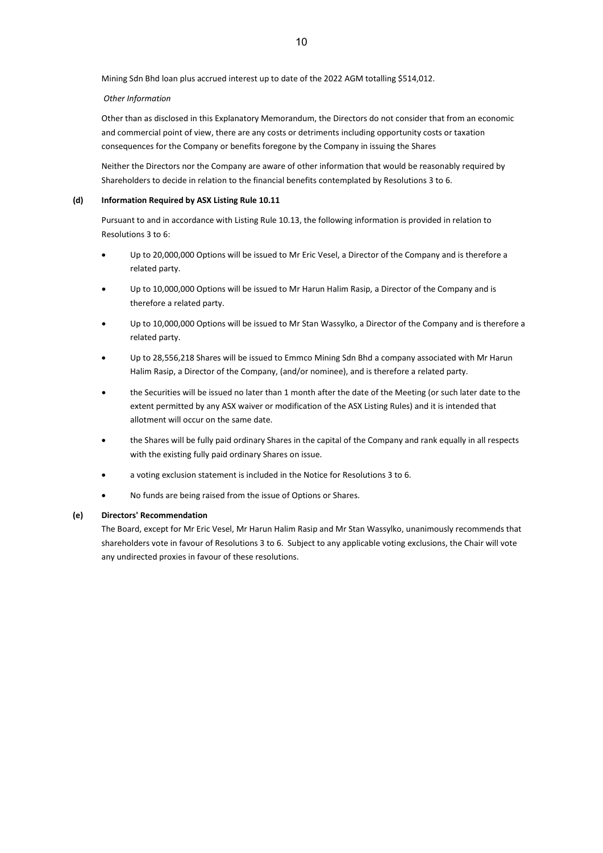Mining Sdn Bhd loan plus accrued interest up to date of the 2022 AGM totalling \$514,012.

## *Other Information*

Other than as disclosed in this Explanatory Memorandum, the Directors do not consider that from an economic and commercial point of view, there are any costs or detriments including opportunity costs or taxation consequences for the Company or benefits foregone by the Company in issuing the Shares

Neither the Directors nor the Company are aware of other information that would be reasonably required by Shareholders to decide in relation to the financial benefits contemplated by Resolutions 3 to 6.

## **(d) Information Required by ASX Listing Rule 10.11**

Pursuant to and in accordance with Listing Rule 10.13, the following information is provided in relation to Resolutions 3 to 6:

- Up to 20,000,000 Options will be issued to Mr Eric Vesel, a Director of the Company and is therefore a related party.
- Up to 10,000,000 Options will be issued to Mr Harun Halim Rasip, a Director of the Company and is therefore a related party.
- Up to 10,000,000 Options will be issued to Mr Stan Wassylko, a Director of the Company and is therefore a related party.
- Up to 28,556,218 Shares will be issued to Emmco Mining Sdn Bhd a company associated with Mr Harun Halim Rasip, a Director of the Company, (and/or nominee), and is therefore a related party.
- the Securities will be issued no later than 1 month after the date of the Meeting (or such later date to the extent permitted by any ASX waiver or modification of the ASX Listing Rules) and it is intended that allotment will occur on the same date.
- the Shares will be fully paid ordinary Shares in the capital of the Company and rank equally in all respects with the existing fully paid ordinary Shares on issue.
- a voting exclusion statement is included in the Notice for Resolutions 3 to 6.
- No funds are being raised from the issue of Options or Shares.

## **(e) Directors' Recommendation**

The Board, except for Mr Eric Vesel, Mr Harun Halim Rasip and Mr Stan Wassylko, unanimously recommends that shareholders vote in favour of Resolutions 3 to 6. Subject to any applicable voting exclusions, the Chair will vote any undirected proxies in favour of these resolutions.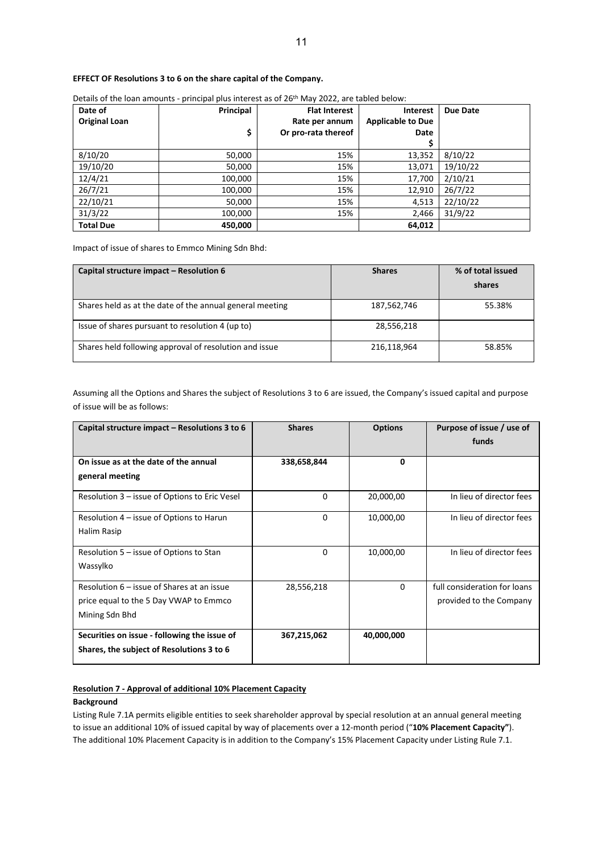## **EFFECT OF Resolutions 3 to 6 on the share capital of the Company.**

| Date of              | Principal | <b>Flat Interest</b> | <b>Interest</b>          | Due Date |
|----------------------|-----------|----------------------|--------------------------|----------|
| <b>Original Loan</b> |           | Rate per annum       | <b>Applicable to Due</b> |          |
|                      | \$        | Or pro-rata thereof  | Date                     |          |
|                      |           |                      |                          |          |
| 8/10/20              | 50,000    | 15%                  | 13,352                   | 8/10/22  |
| 19/10/20             | 50,000    | 15%                  | 13,071                   | 19/10/22 |
| 12/4/21              | 100,000   | 15%                  | 17,700                   | 2/10/21  |
| 26/7/21              | 100,000   | 15%                  | 12,910                   | 26/7/22  |
| 22/10/21             | 50,000    | 15%                  | 4,513                    | 22/10/22 |
| 31/3/22              | 100,000   | 15%                  | 2,466                    | 31/9/22  |
| <b>Total Due</b>     | 450,000   |                      | 64,012                   |          |

Details of the loan amounts - principal plus interest as of 26<sup>th</sup> May 2022, are tabled below:

Impact of issue of shares to Emmco Mining Sdn Bhd:

| Capital structure impact – Resolution 6                  | <b>Shares</b> | % of total issued<br>shares |
|----------------------------------------------------------|---------------|-----------------------------|
| Shares held as at the date of the annual general meeting | 187,562,746   | 55.38%                      |
| Issue of shares pursuant to resolution 4 (up to)         | 28,556,218    |                             |
| Shares held following approval of resolution and issue   | 216,118,964   | 58.85%                      |

Assuming all the Options and Shares the subject of Resolutions 3 to 6 are issued, the Company's issued capital and purpose of issue will be as follows:

| Capital structure impact - Resolutions 3 to 6 | <b>Shares</b> | <b>Options</b> | Purpose of issue / use of<br>funds |
|-----------------------------------------------|---------------|----------------|------------------------------------|
|                                               |               |                |                                    |
| On issue as at the date of the annual         | 338,658,844   | $\Omega$       |                                    |
| general meeting                               |               |                |                                    |
| Resolution 3 – issue of Options to Eric Vesel | 0             | 20,000,00      | In lieu of director fees           |
| Resolution 4 – issue of Options to Harun      | 0             | 10,000,00      | In lieu of director fees           |
| Halim Rasip                                   |               |                |                                    |
| Resolution 5 – issue of Options to Stan       | $\Omega$      | 10,000,00      | In lieu of director fees           |
| Wassylko                                      |               |                |                                    |
| Resolution 6 – issue of Shares at an issue    | 28,556,218    | $\Omega$       | full consideration for loans       |
| price equal to the 5 Day VWAP to Emmco        |               |                | provided to the Company            |
| Mining Sdn Bhd                                |               |                |                                    |
| Securities on issue - following the issue of  | 367,215,062   | 40,000,000     |                                    |
| Shares, the subject of Resolutions 3 to 6     |               |                |                                    |

## **Resolution 7 - Approval of additional 10% Placement Capacity**

## **Background**

Listing Rule 7.1A permits eligible entities to seek shareholder approval by special resolution at an annual general meeting to issue an additional 10% of issued capital by way of placements over a 12-month period ("**10% Placement Capacity"**). The additional 10% Placement Capacity is in addition to the Company's 15% Placement Capacity under Listing Rule 7.1.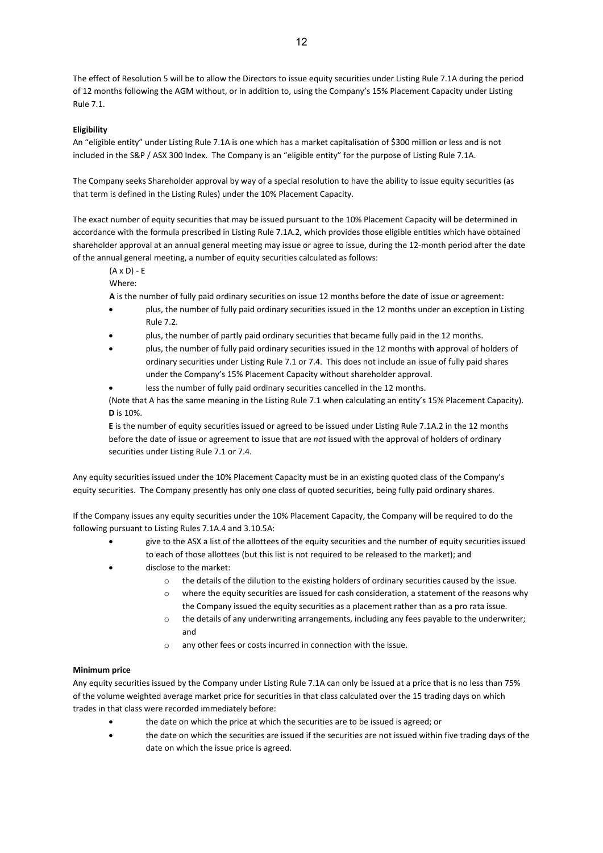The effect of Resolution 5 will be to allow the Directors to issue equity securities under Listing Rule 7.1A during the period of 12 months following the AGM without, or in addition to, using the Company's 15% Placement Capacity under Listing Rule 7.1.

## **Eligibility**

An "eligible entity" under Listing Rule 7.1A is one which has a market capitalisation of \$300 million or less and is not included in the S&P / ASX 300 Index. The Company is an "eligible entity" for the purpose of Listing Rule 7.1A.

The Company seeks Shareholder approval by way of a special resolution to have the ability to issue equity securities (as that term is defined in the Listing Rules) under the 10% Placement Capacity.

The exact number of equity securities that may be issued pursuant to the 10% Placement Capacity will be determined in accordance with the formula prescribed in Listing Rule 7.1A.2, which provides those eligible entities which have obtained shareholder approval at an annual general meeting may issue or agree to issue, during the 12-month period after the date of the annual general meeting, a number of equity securities calculated as follows:

(A x D) - E

Where:

**A** is the number of fully paid ordinary securities on issue 12 months before the date of issue or agreement:

- plus, the number of fully paid ordinary securities issued in the 12 months under an exception in Listing Rule 7.2.
- plus, the number of partly paid ordinary securities that became fully paid in the 12 months.
- plus, the number of fully paid ordinary securities issued in the 12 months with approval of holders of ordinary securities under Listing Rule 7.1 or 7.4. This does not include an issue of fully paid shares under the Company's 15% Placement Capacity without shareholder approval.
	- less the number of fully paid ordinary securities cancelled in the 12 months.

(Note that A has the same meaning in the Listing Rule 7.1 when calculating an entity's 15% Placement Capacity). **D** is 10%.

**E** is the number of equity securities issued or agreed to be issued under Listing Rule 7.1A.2 in the 12 months before the date of issue or agreement to issue that are *not* issued with the approval of holders of ordinary securities under Listing Rule 7.1 or 7.4.

Any equity securities issued under the 10% Placement Capacity must be in an existing quoted class of the Company's equity securities. The Company presently has only one class of quoted securities, being fully paid ordinary shares.

If the Company issues any equity securities under the 10% Placement Capacity, the Company will be required to do the following pursuant to Listing Rules 7.1A.4 and 3.10.5A:

- give to the ASX a list of the allottees of the equity securities and the number of equity securities issued to each of those allottees (but this list is not required to be released to the market); and
- disclose to the market:
	- o the details of the dilution to the existing holders of ordinary securities caused by the issue.
	- o where the equity securities are issued for cash consideration, a statement of the reasons why the Company issued the equity securities as a placement rather than as a pro rata issue.
	- $\circ$  the details of any underwriting arrangements, including any fees payable to the underwriter; and
	- o any other fees or costs incurred in connection with the issue.

## **Minimum price**

Any equity securities issued by the Company under Listing Rule 7.1A can only be issued at a price that is no less than 75% of the volume weighted average market price for securities in that class calculated over the 15 trading days on which trades in that class were recorded immediately before:

- the date on which the price at which the securities are to be issued is agreed; or
- the date on which the securities are issued if the securities are not issued within five trading days of the date on which the issue price is agreed.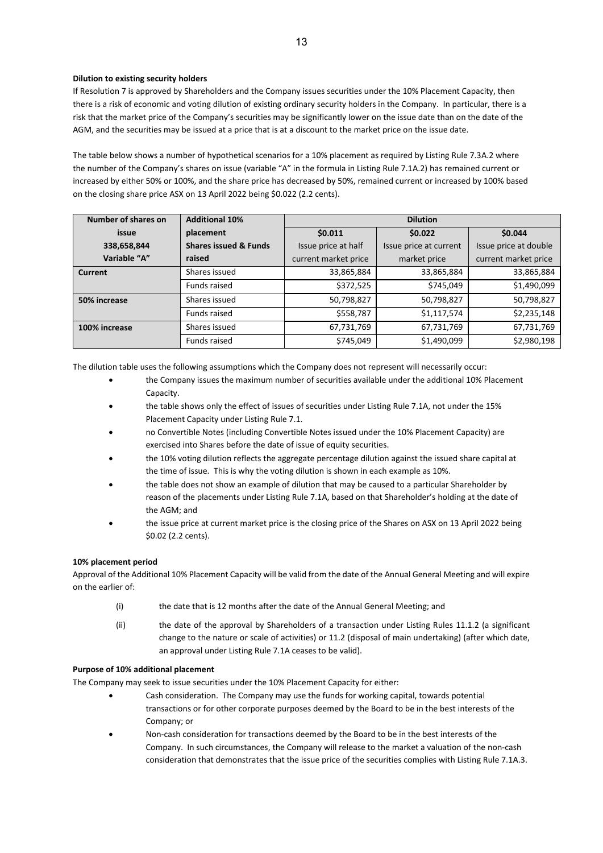## **Dilution to existing security holders**

If Resolution 7 is approved by Shareholders and the Company issues securities under the 10% Placement Capacity, then there is a risk of economic and voting dilution of existing ordinary security holders in the Company. In particular, there is a risk that the market price of the Company's securities may be significantly lower on the issue date than on the date of the AGM, and the securities may be issued at a price that is at a discount to the market price on the issue date.

The table below shows a number of hypothetical scenarios for a 10% placement as required by Listing Rule 7.3A.2 where the number of the Company's shares on issue (variable "A" in the formula in Listing Rule 7.1A.2) has remained current or increased by either 50% or 100%, and the share price has decreased by 50%, remained current or increased by 100% based on the closing share price ASX on 13 April 2022 being \$0.022 (2.2 cents).

| Number of shares on | <b>Additional 10%</b>            |                      | <b>Dilution</b>        |                       |  |  |  |
|---------------------|----------------------------------|----------------------|------------------------|-----------------------|--|--|--|
| issue               | placement                        | \$0.011              | \$0.022                | \$0.044               |  |  |  |
| 338,658,844         | <b>Shares issued &amp; Funds</b> | Issue price at half  | Issue price at current | Issue price at double |  |  |  |
| Variable "A"        | raised                           | current market price | market price           | current market price  |  |  |  |
| Current             | Shares issued                    | 33,865,884           | 33,865,884             | 33,865,884            |  |  |  |
|                     | Funds raised                     | \$372,525            | \$745,049              | \$1,490,099           |  |  |  |
| 50% increase        | Shares issued                    | 50,798,827           | 50,798,827             | 50,798,827            |  |  |  |
|                     | Funds raised                     | \$558,787            | \$1,117,574            | \$2,235,148           |  |  |  |
| 100% increase       | Shares issued                    | 67,731,769           | 67,731,769             | 67,731,769            |  |  |  |
|                     | Funds raised                     | \$745,049            | \$1,490,099            | \$2,980,198           |  |  |  |

The dilution table uses the following assumptions which the Company does not represent will necessarily occur:

- the Company issues the maximum number of securities available under the additional 10% Placement Capacity.
- the table shows only the effect of issues of securities under Listing Rule 7.1A, not under the 15% Placement Capacity under Listing Rule 7.1.
- no Convertible Notes (including Convertible Notes issued under the 10% Placement Capacity) are exercised into Shares before the date of issue of equity securities.
- the 10% voting dilution reflects the aggregate percentage dilution against the issued share capital at the time of issue. This is why the voting dilution is shown in each example as 10%.
- the table does not show an example of dilution that may be caused to a particular Shareholder by reason of the placements under Listing Rule 7.1A, based on that Shareholder's holding at the date of the AGM; and
- the issue price at current market price is the closing price of the Shares on ASX on 13 April 2022 being \$0.02 (2.2 cents).

## **10% placement period**

Approval of the Additional 10% Placement Capacity will be valid from the date of the Annual General Meeting and will expire on the earlier of:

- (i) the date that is 12 months after the date of the Annual General Meeting; and
- (ii) the date of the approval by Shareholders of a transaction under Listing Rules 11.1.2 (a significant change to the nature or scale of activities) or 11.2 (disposal of main undertaking) (after which date, an approval under Listing Rule 7.1A ceases to be valid).

## **Purpose of 10% additional placement**

The Company may seek to issue securities under the 10% Placement Capacity for either:

- Cash consideration. The Company may use the funds for working capital, towards potential transactions or for other corporate purposes deemed by the Board to be in the best interests of the Company; or
- Non-cash consideration for transactions deemed by the Board to be in the best interests of the Company. In such circumstances, the Company will release to the market a valuation of the non-cash consideration that demonstrates that the issue price of the securities complies with Listing Rule 7.1A.3.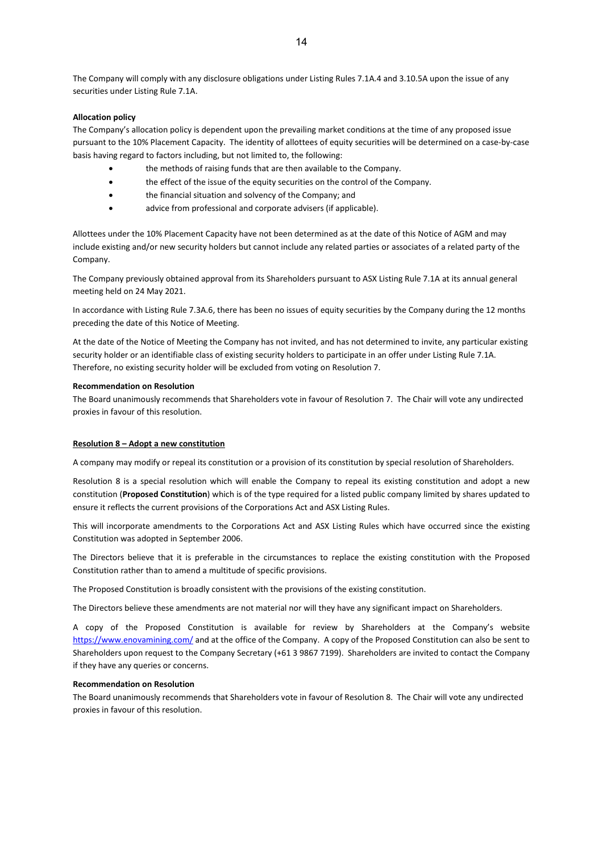The Company will comply with any disclosure obligations under Listing Rules 7.1A.4 and 3.10.5A upon the issue of any securities under Listing Rule 7.1A.

## **Allocation policy**

The Company's allocation policy is dependent upon the prevailing market conditions at the time of any proposed issue pursuant to the 10% Placement Capacity. The identity of allottees of equity securities will be determined on a case-by-case basis having regard to factors including, but not limited to, the following:

- the methods of raising funds that are then available to the Company.
- the effect of the issue of the equity securities on the control of the Company.
- the financial situation and solvency of the Company; and
- advice from professional and corporate advisers (if applicable).

Allottees under the 10% Placement Capacity have not been determined as at the date of this Notice of AGM and may include existing and/or new security holders but cannot include any related parties or associates of a related party of the Company.

The Company previously obtained approval from its Shareholders pursuant to ASX Listing Rule 7.1A at its annual general meeting held on 24 May 2021.

In accordance with Listing Rule 7.3A.6, there has been no issues of equity securities by the Company during the 12 months preceding the date of this Notice of Meeting.

At the date of the Notice of Meeting the Company has not invited, and has not determined to invite, any particular existing security holder or an identifiable class of existing security holders to participate in an offer under Listing Rule 7.1A. Therefore, no existing security holder will be excluded from voting on Resolution 7.

#### **Recommendation on Resolution**

The Board unanimously recommends that Shareholders vote in favour of Resolution 7. The Chair will vote any undirected proxies in favour of this resolution.

#### **Resolution 8 – Adopt a new constitution**

A company may modify or repeal its constitution or a provision of its constitution by special resolution of Shareholders.

Resolution 8 is a special resolution which will enable the Company to repeal its existing constitution and adopt a new constitution (**Proposed Constitution**) which is of the type required for a listed public company limited by shares updated to ensure it reflects the current provisions of the Corporations Act and ASX Listing Rules.

This will incorporate amendments to the Corporations Act and ASX Listing Rules which have occurred since the existing Constitution was adopted in September 2006.

The Directors believe that it is preferable in the circumstances to replace the existing constitution with the Proposed Constitution rather than to amend a multitude of specific provisions.

The Proposed Constitution is broadly consistent with the provisions of the existing constitution.

The Directors believe these amendments are not material nor will they have any significant impact on Shareholders.

A copy of the Proposed Constitution is available for review by Shareholders at the Company's website <https://www.enovamining.com/> and at the office of the Company. A copy of the Proposed Constitution can also be sent to Shareholders upon request to the Company Secretary (+61 3 9867 7199). Shareholders are invited to contact the Company if they have any queries or concerns.

#### **Recommendation on Resolution**

The Board unanimously recommends that Shareholders vote in favour of Resolution 8. The Chair will vote any undirected proxies in favour of this resolution.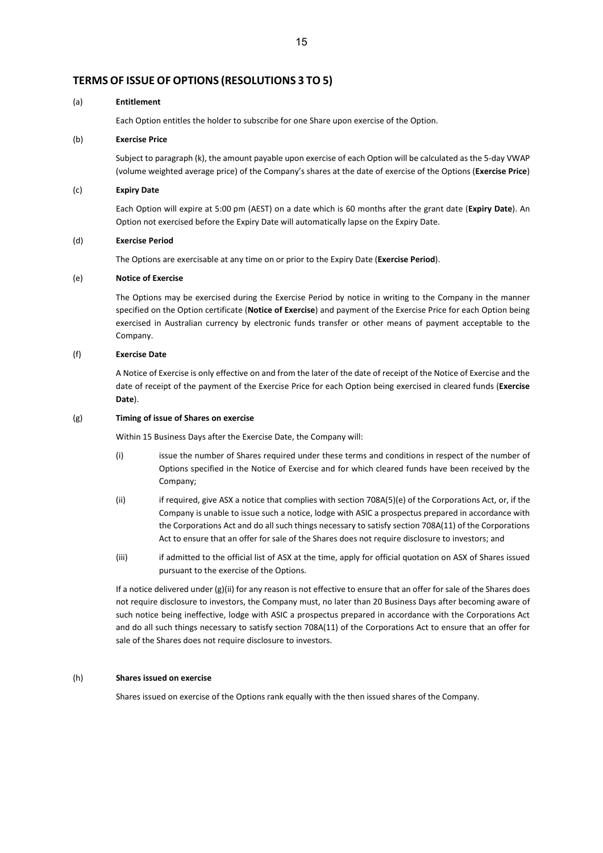## **TERMS OF ISSUE OF OPTIONS (RESOLUTIONS 3 TO 5)**

#### (a) **Entitlement**

Each Option entitles the holder to subscribe for one Share upon exercise of the Option.

#### (b) **Exercise Price**

Subject to paragraph (k), the amount payable upon exercise of each Option will be calculated as the 5-day VWAP (volume weighted average price) of the Company's shares at the date of exercise of the Options (**Exercise Price**)

#### (c) **Expiry Date**

Each Option will expire at 5:00 pm (AEST) on a date which is 60 months after the grant date (**Expiry Date**). An Option not exercised before the Expiry Date will automatically lapse on the Expiry Date.

#### (d) **Exercise Period**

The Options are exercisable at any time on or prior to the Expiry Date (**Exercise Period**).

#### (e) **Notice of Exercise**

The Options may be exercised during the Exercise Period by notice in writing to the Company in the manner specified on the Option certificate (**Notice of Exercise**) and payment of the Exercise Price for each Option being exercised in Australian currency by electronic funds transfer or other means of payment acceptable to the Company.

#### (f) **Exercise Date**

A Notice of Exercise is only effective on and from the later of the date of receipt of the Notice of Exercise and the date of receipt of the payment of the Exercise Price for each Option being exercised in cleared funds (**Exercise Date**).

#### (g) **Timing of issue of Shares on exercise**

Within 15 Business Days after the Exercise Date, the Company will:

- (i) issue the number of Shares required under these terms and conditions in respect of the number of Options specified in the Notice of Exercise and for which cleared funds have been received by the Company;
- (ii) if required, give ASX a notice that complies with section 708A(5)(e) of the Corporations Act, or, if the Company is unable to issue such a notice, lodge with ASIC a prospectus prepared in accordance with the Corporations Act and do all such things necessary to satisfy section 708A(11) of the Corporations Act to ensure that an offer for sale of the Shares does not require disclosure to investors; and
- (iii) if admitted to the official list of ASX at the time, apply for official quotation on ASX of Shares issued pursuant to the exercise of the Options.

If a notice delivered under (g)(ii) for any reason is not effective to ensure that an offer for sale of the Shares does not require disclosure to investors, the Company must, no later than 20 Business Days after becoming aware of such notice being ineffective, lodge with ASIC a prospectus prepared in accordance with the Corporations Act and do all such things necessary to satisfy section 708A(11) of the Corporations Act to ensure that an offer for sale of the Shares does not require disclosure to investors.

#### (h) **Shares issued on exercise**

Shares issued on exercise of the Options rank equally with the then issued shares of the Company.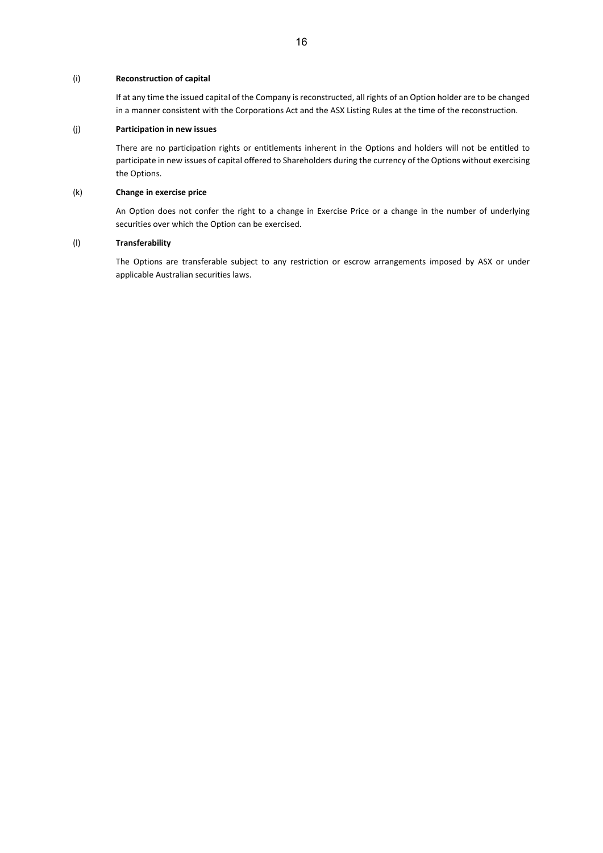## (i) **Reconstruction of capital**

If at any time the issued capital of the Company is reconstructed, all rights of an Option holder are to be changed in a manner consistent with the Corporations Act and the ASX Listing Rules at the time of the reconstruction.

## (j) **Participation in new issues**

There are no participation rights or entitlements inherent in the Options and holders will not be entitled to participate in new issues of capital offered to Shareholders during the currency of the Options without exercising the Options.

## (k) **Change in exercise price**

An Option does not confer the right to a change in Exercise Price or a change in the number of underlying securities over which the Option can be exercised.

## (l) **Transferability**

The Options are transferable subject to any restriction or escrow arrangements imposed by ASX or under applicable Australian securities laws.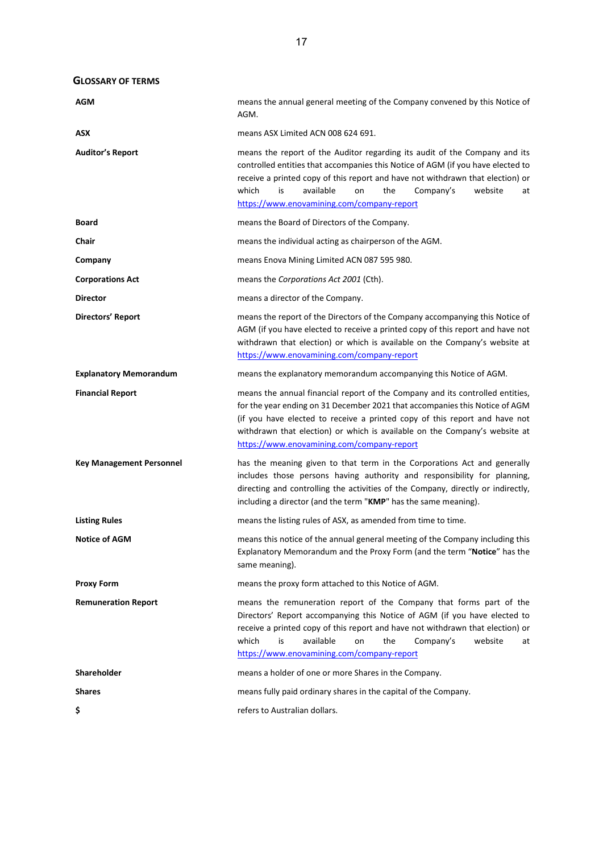**GLOSSARY OF TERMS**

| AGM                             | means the annual general meeting of the Company convened by this Notice of<br>AGM.                                                                                                                                                                                                                                                                                     |  |  |  |  |
|---------------------------------|------------------------------------------------------------------------------------------------------------------------------------------------------------------------------------------------------------------------------------------------------------------------------------------------------------------------------------------------------------------------|--|--|--|--|
| ASX                             | means ASX Limited ACN 008 624 691.                                                                                                                                                                                                                                                                                                                                     |  |  |  |  |
| <b>Auditor's Report</b>         | means the report of the Auditor regarding its audit of the Company and its<br>controlled entities that accompanies this Notice of AGM (if you have elected to<br>receive a printed copy of this report and have not withdrawn that election) or<br>which<br>available<br>the<br>Company's<br>is<br>on<br>website<br>at<br>https://www.enovamining.com/company-report   |  |  |  |  |
| <b>Board</b>                    | means the Board of Directors of the Company.                                                                                                                                                                                                                                                                                                                           |  |  |  |  |
| Chair                           | means the individual acting as chairperson of the AGM.                                                                                                                                                                                                                                                                                                                 |  |  |  |  |
| Company                         | means Enova Mining Limited ACN 087 595 980.                                                                                                                                                                                                                                                                                                                            |  |  |  |  |
| <b>Corporations Act</b>         | means the Corporations Act 2001 (Cth).                                                                                                                                                                                                                                                                                                                                 |  |  |  |  |
| <b>Director</b>                 | means a director of the Company.                                                                                                                                                                                                                                                                                                                                       |  |  |  |  |
| Directors' Report               | means the report of the Directors of the Company accompanying this Notice of<br>AGM (if you have elected to receive a printed copy of this report and have not<br>withdrawn that election) or which is available on the Company's website at<br>https://www.enovamining.com/company-report                                                                             |  |  |  |  |
| <b>Explanatory Memorandum</b>   | means the explanatory memorandum accompanying this Notice of AGM.                                                                                                                                                                                                                                                                                                      |  |  |  |  |
| <b>Financial Report</b>         | means the annual financial report of the Company and its controlled entities,<br>for the year ending on 31 December 2021 that accompanies this Notice of AGM<br>(if you have elected to receive a printed copy of this report and have not<br>withdrawn that election) or which is available on the Company's website at<br>https://www.enovamining.com/company-report |  |  |  |  |
| <b>Key Management Personnel</b> | has the meaning given to that term in the Corporations Act and generally<br>includes those persons having authority and responsibility for planning,<br>directing and controlling the activities of the Company, directly or indirectly,<br>including a director (and the term "KMP" has the same meaning).                                                            |  |  |  |  |
| <b>Listing Rules</b>            | means the listing rules of ASX, as amended from time to time.                                                                                                                                                                                                                                                                                                          |  |  |  |  |
| <b>Notice of AGM</b>            | means this notice of the annual general meeting of the Company including this<br>Explanatory Memorandum and the Proxy Form (and the term "Notice" has the<br>same meaning).                                                                                                                                                                                            |  |  |  |  |
| <b>Proxy Form</b>               | means the proxy form attached to this Notice of AGM.                                                                                                                                                                                                                                                                                                                   |  |  |  |  |
| <b>Remuneration Report</b>      | means the remuneration report of the Company that forms part of the<br>Directors' Report accompanying this Notice of AGM (if you have elected to<br>receive a printed copy of this report and have not withdrawn that election) or<br>available<br>which<br>the<br>Company's<br>website<br>is<br>on<br>at<br>https://www.enovamining.com/company-report                |  |  |  |  |
| <b>Shareholder</b>              | means a holder of one or more Shares in the Company.                                                                                                                                                                                                                                                                                                                   |  |  |  |  |
| <b>Shares</b>                   | means fully paid ordinary shares in the capital of the Company.                                                                                                                                                                                                                                                                                                        |  |  |  |  |
| \$                              | refers to Australian dollars.                                                                                                                                                                                                                                                                                                                                          |  |  |  |  |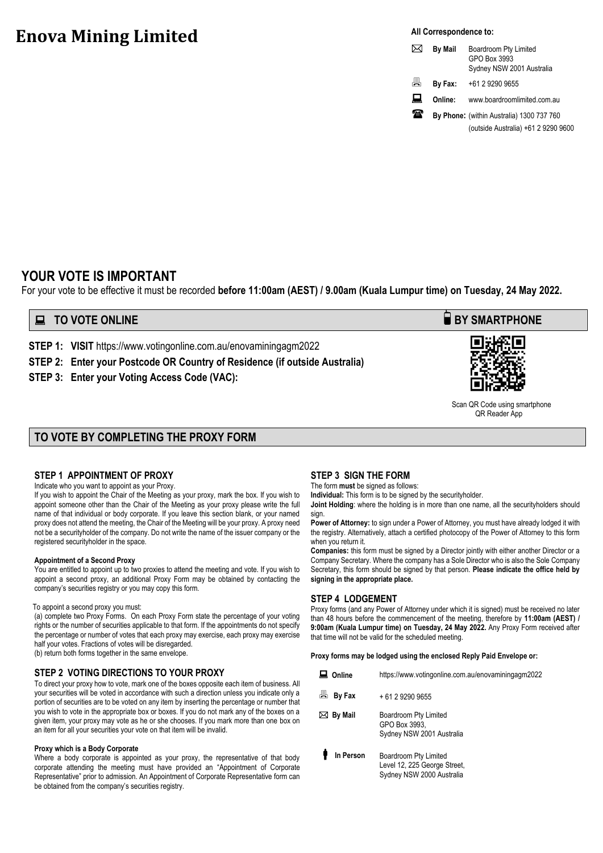# **Enova Mining Limited**

**All Correspondence to:**

|   | <b>By Mail</b> | Boardroom Pty Limited<br>GPO Box 3993<br>Sydney NSW 2001 Australia |
|---|----------------|--------------------------------------------------------------------|
| 咼 | By Fax:        | +61 2 9290 9655                                                    |
| ᄴ | Online:        | www.boardroomlimited.com.au                                        |
| ₩ |                | By Phone: (within Australia) 1300 737 760                          |
|   |                | (outside Australia) +61 2 9290 9600                                |

# **YOUR VOTE IS IMPORTANT**

For your vote to be effective it must be recorded **before 11:00am (AEST) / 9.00am (Kuala Lumpur time) on Tuesday, 24 May 2022.**

# **EXECUTE ONLINE BY SMARTPHONE**

**STEP 1: VISIT** https://www.votingonline.com.au/enovaminingagm2022

**STEP 2: Enter your Postcode OR Country of Residence (if outside Australia)**

**STEP 3: Enter your Voting Access Code (VAC):** 



 Scan QR Code using smartphone QR Reader App

# **TO VOTE BY COMPLETING THE PROXY FORM**

## **STEP 1 APPOINTMENT OF PROXY**

Indicate who you want to appoint as your Proxy.

If you wish to appoint the Chair of the Meeting as your proxy, mark the box. If you wish to appoint someone other than the Chair of the Meeting as your proxy please write the full name of that individual or body corporate. If you leave this section blank, or your named proxy does not attend the meeting, the Chair of the Meeting will be your proxy. A proxy need not be a securityholder of the company. Do not write the name of the issuer company or the registered securityholder in the space.

#### **Appointment of a Second Proxy**

You are entitled to appoint up to two proxies to attend the meeting and vote. If you wish to appoint a second proxy, an additional Proxy Form may be obtained by contacting the company's securities registry or you may copy this form.

#### To appoint a second proxy you must:

(a) complete two Proxy Forms. On each Proxy Form state the percentage of your voting rights or the number of securities applicable to that form. If the appointments do not specify the percentage or number of votes that each proxy may exercise, each proxy may exercise half your votes. Fractions of votes will be disregarded.

(b) return both forms together in the same envelope.

#### **STEP 2 VOTING DIRECTIONS TO YOUR PROXY**

To direct your proxy how to vote, mark one of the boxes opposite each item of business. All your securities will be voted in accordance with such a direction unless you indicate only a portion of securities are to be voted on any item by inserting the percentage or number that you wish to vote in the appropriate box or boxes. If you do not mark any of the boxes on a given item, your proxy may vote as he or she chooses. If you mark more than one box on an item for all your securities your vote on that item will be invalid.

#### **Proxy which is a Body Corporate**

Where a body corporate is appointed as your proxy, the representative of that body corporate attending the meeting must have provided an "Appointment of Corporate Representative" prior to admission. An Appointment of Corporate Representative form can be obtained from the company's securities registry.

## **STEP 3 SIGN THE FORM**

The form **must** be signed as follows:

**Individual:** This form is to be signed by the securityholder.

**Joint Holding**: where the holding is in more than one name, all the securityholders should sign.

**Power of Attorney:** to sign under a Power of Attorney, you must have already lodged it with the registry. Alternatively, attach a certified photocopy of the Power of Attorney to this form when you return it.

**Companies:** this form must be signed by a Director jointly with either another Director or a Company Secretary. Where the company has a Sole Director who is also the Sole Company Secretary, this form should be signed by that person. **Please indicate the office held by signing in the appropriate place.**

## **STEP 4 LODGEMENT**

Proxy forms (and any Power of Attorney under which it is signed) must be received no later than 48 hours before the commencement of the meeting, therefore by **11:00am (AEST) / 9:00am (Kuala Lumpur time) on Tuesday, 24 May 2022.** Any Proxy Form received after that time will not be valid for the scheduled meeting.

**Proxy forms may be lodged using the enclosed Reply Paid Envelope or:**

| Online      | https://www.votingonline.com.au/enovaminingagm2022                                 |
|-------------|------------------------------------------------------------------------------------|
| 畳<br>By Fax | + 61 2 9290 9655                                                                   |
| ⊠ By Mail   | Boardroom Pty Limited<br>GPO Box 3993.<br>Sydney NSW 2001 Australia                |
| In Person   | Boardroom Pty Limited<br>Level 12, 225 George Street,<br>Sydney NSW 2000 Australia |